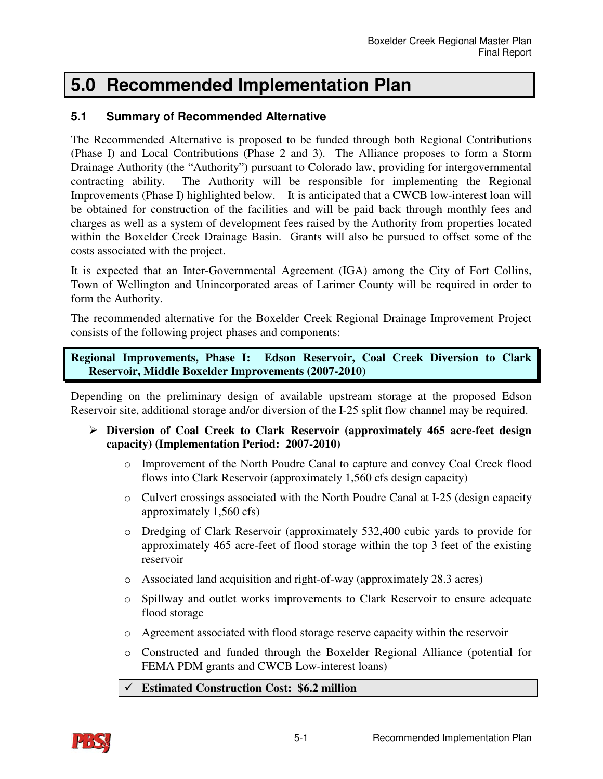# **5.0 Recommended Implementation Plan**

# **5.1 Summary of Recommended Alternative**

The Recommended Alternative is proposed to be funded through both Regional Contributions (Phase I) and Local Contributions (Phase 2 and 3). The Alliance proposes to form a Storm Drainage Authority (the "Authority") pursuant to Colorado law, providing for intergovernmental contracting ability. The Authority will be responsible for implementing the Regional Improvements (Phase I) highlighted below. It is anticipated that a CWCB low-interest loan will be obtained for construction of the facilities and will be paid back through monthly fees and charges as well as a system of development fees raised by the Authority from properties located within the Boxelder Creek Drainage Basin. Grants will also be pursued to offset some of the costs associated with the project.

It is expected that an Inter-Governmental Agreement (IGA) among the City of Fort Collins, Town of Wellington and Unincorporated areas of Larimer County will be required in order to form the Authority.

The recommended alternative for the Boxelder Creek Regional Drainage Improvement Project consists of the following project phases and components:

**Regional Improvements, Phase I: Edson Reservoir, Coal Creek Diversion to Clark Reservoir, Middle Boxelder Improvements (2007-2010)**

Depending on the preliminary design of available upstream storage at the proposed Edson Reservoir site, additional storage and/or diversion of the I-25 split flow channel may be required.

- **Diversion of Coal Creek to Clark Reservoir (approximately 465 acre-feet design capacity) (Implementation Period: 2007-2010)**
	- o Improvement of the North Poudre Canal to capture and convey Coal Creek flood flows into Clark Reservoir (approximately 1,560 cfs design capacity)
	- o Culvert crossings associated with the North Poudre Canal at I-25 (design capacity approximately 1,560 cfs)
	- o Dredging of Clark Reservoir (approximately 532,400 cubic yards to provide for approximately 465 acre-feet of flood storage within the top 3 feet of the existing reservoir
	- o Associated land acquisition and right-of-way (approximately 28.3 acres)
	- o Spillway and outlet works improvements to Clark Reservoir to ensure adequate flood storage
	- o Agreement associated with flood storage reserve capacity within the reservoir
	- o Constructed and funded through the Boxelder Regional Alliance (potential for FEMA PDM grants and CWCB Low-interest loans)

 $\checkmark$ **Estimated Construction Cost: \$6.2 million**

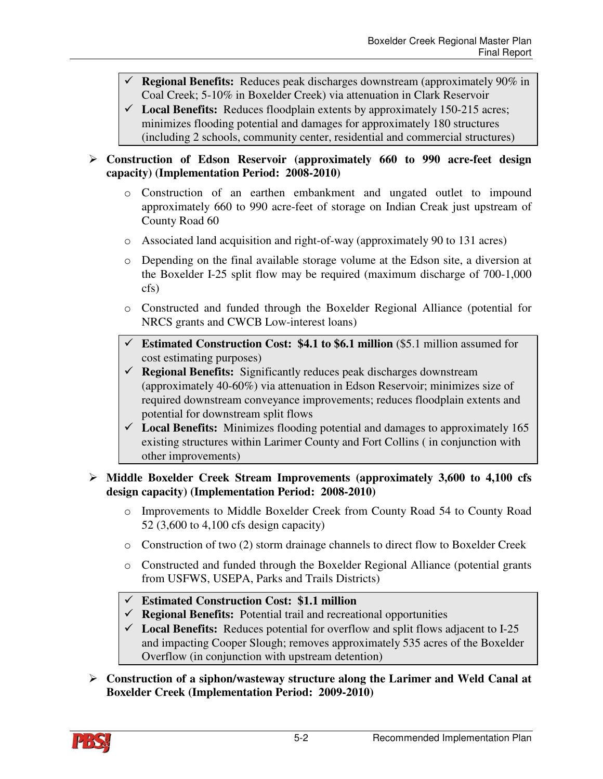- $\checkmark$  **Regional Benefits:** Reduces peak discharges downstream (approximately 90% in Coal Creek; 5-10% in Boxelder Creek) via attenuation in Clark Reservoir
- **Local Benefits:** Reduces floodplain extents by approximately 150-215 acres; minimizes flooding potential and damages for approximately 180 structures (including 2 schools, community center, residential and commercial structures)

# **Construction of Edson Reservoir (approximately 660 to 990 acre-feet design capacity) (Implementation Period: 2008-2010)**

- o Construction of an earthen embankment and ungated outlet to impound approximately 660 to 990 acre-feet of storage on Indian Creak just upstream of County Road 60
- o Associated land acquisition and right-of-way (approximately 90 to 131 acres)
- o Depending on the final available storage volume at the Edson site, a diversion at the Boxelder I-25 split flow may be required (maximum discharge of 700-1,000 cfs)
- o Constructed and funded through the Boxelder Regional Alliance (potential for NRCS grants and CWCB Low-interest loans)
- **Estimated Construction Cost: \$4.1 to \$6.1 million** (\$5.1 million assumed for cost estimating purposes)
- **Regional Benefits:** Significantly reduces peak discharges downstream (approximately 40-60%) via attenuation in Edson Reservoir; minimizes size of required downstream conveyance improvements; reduces floodplain extents and potential for downstream split flows
- **Local Benefits:** Minimizes flooding potential and damages to approximately 165 existing structures within Larimer County and Fort Collins ( in conjunction with other improvements)

# **Middle Boxelder Creek Stream Improvements (approximately 3,600 to 4,100 cfs design capacity) (Implementation Period: 2008-2010)**

- o Improvements to Middle Boxelder Creek from County Road 54 to County Road 52 (3,600 to 4,100 cfs design capacity)
- o Construction of two (2) storm drainage channels to direct flow to Boxelder Creek
- o Constructed and funded through the Boxelder Regional Alliance (potential grants from USFWS, USEPA, Parks and Trails Districts)
- **Estimated Construction Cost: \$1.1 million**
- **Regional Benefits:** Potential trail and recreational opportunities
- **Local Benefits:** Reduces potential for overflow and split flows adjacent to I-25 and impacting Cooper Slough; removes approximately 535 acres of the Boxelder Overflow (in conjunction with upstream detention)
- **Construction of a siphon/wasteway structure along the Larimer and Weld Canal at Boxelder Creek (Implementation Period: 2009-2010)**

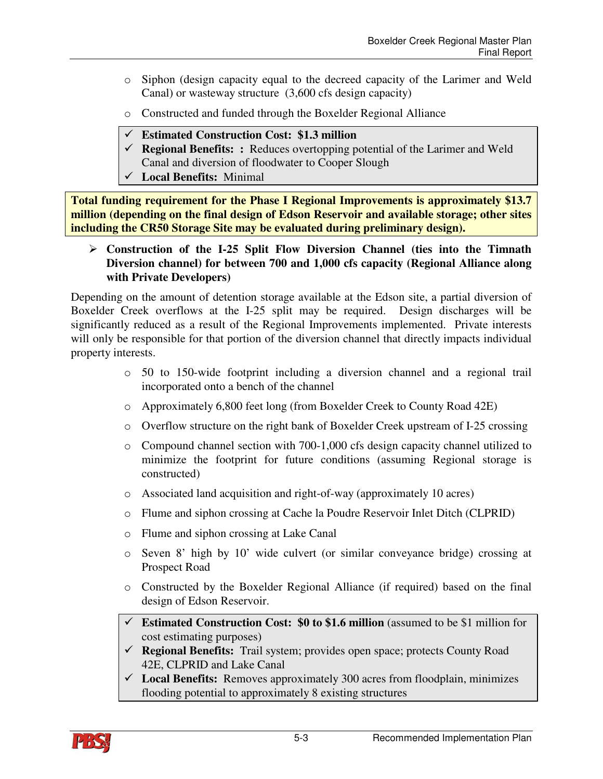- o Siphon (design capacity equal to the decreed capacity of the Larimer and Weld Canal) or wasteway structure (3,600 cfs design capacity)
- o Constructed and funded through the Boxelder Regional Alliance
- **Estimated Construction Cost: \$1.3 million**
- **Regional Benefits: :** Reduces overtopping potential of the Larimer and Weld Canal and diversion of floodwater to Cooper Slough
- **Local Benefits:** Minimal

**Total funding requirement for the Phase I Regional Improvements is approximately \$13.7 million (depending on the final design of Edson Reservoir and available storage; other sites including the CR50 Storage Site may be evaluated during preliminary design).**

 **Construction of the I-25 Split Flow Diversion Channel (ties into the Timnath Diversion channel) for between 700 and 1,000 cfs capacity (Regional Alliance along with Private Developers)**

Depending on the amount of detention storage available at the Edson site, a partial diversion of Boxelder Creek overflows at the I-25 split may be required. Design discharges will be significantly reduced as a result of the Regional Improvements implemented. Private interests will only be responsible for that portion of the diversion channel that directly impacts individual property interests.

- o 50 to 150-wide footprint including a diversion channel and a regional trail incorporated onto a bench of the channel
- o Approximately 6,800 feet long (from Boxelder Creek to County Road 42E)
- o Overflow structure on the right bank of Boxelder Creek upstream of I-25 crossing
- o Compound channel section with 700-1,000 cfs design capacity channel utilized to minimize the footprint for future conditions (assuming Regional storage is constructed)
- o Associated land acquisition and right-of-way (approximately 10 acres)
- o Flume and siphon crossing at Cache la Poudre Reservoir Inlet Ditch (CLPRID)
- o Flume and siphon crossing at Lake Canal
- o Seven 8' high by 10' wide culvert (or similar conveyance bridge) crossing at Prospect Road
- o Constructed by the Boxelder Regional Alliance (if required) based on the final design of Edson Reservoir.
- **Estimated Construction Cost: \$0 to \$1.6 million** (assumed to be \$1 million for cost estimating purposes)
- **Regional Benefits:** Trail system; provides open space; protects County Road 42E, CLPRID and Lake Canal
- **Local Benefits:** Removes approximately 300 acres from floodplain, minimizes flooding potential to approximately 8 existing structures

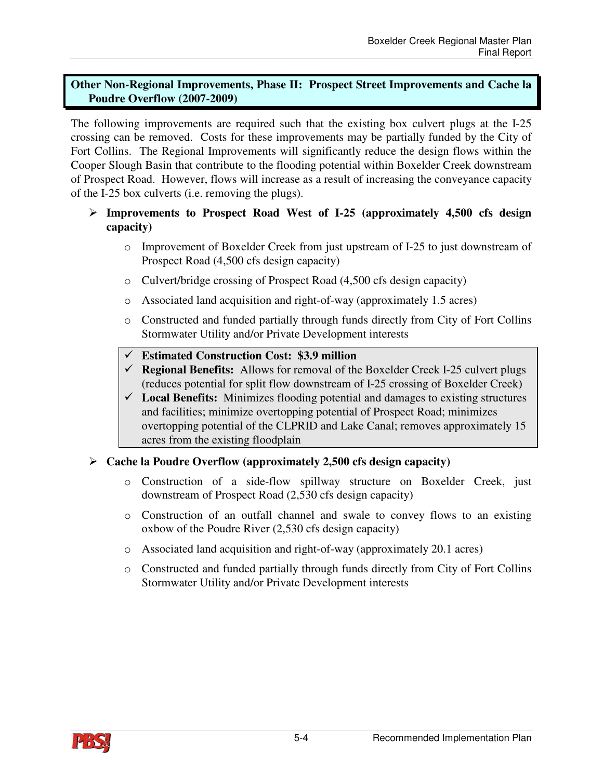# **Other Non-Regional Improvements, Phase II: Prospect Street Improvements and Cache la Poudre Overflow (2007-2009)**

The following improvements are required such that the existing box culvert plugs at the I-25 crossing can be removed. Costs for these improvements may be partially funded by the City of Fort Collins. The Regional Improvements will significantly reduce the design flows within the Cooper Slough Basin that contribute to the flooding potential within Boxelder Creek downstream of Prospect Road. However, flows will increase as a result of increasing the conveyance capacity of the I-25 box culverts (i.e. removing the plugs).

# **Improvements to Prospect Road West of I-25 (approximately 4,500 cfs design capacity)**

- o Improvement of Boxelder Creek from just upstream of I-25 to just downstream of Prospect Road (4,500 cfs design capacity)
- o Culvert/bridge crossing of Prospect Road (4,500 cfs design capacity)
- o Associated land acquisition and right-of-way (approximately 1.5 acres)
- o Constructed and funded partially through funds directly from City of Fort Collins Stormwater Utility and/or Private Development interests
- **Estimated Construction Cost: \$3.9 million**
- **Regional Benefits:** Allows for removal of the Boxelder Creek I-25 culvert plugs (reduces potential for split flow downstream of I-25 crossing of Boxelder Creek)
- **Local Benefits:** Minimizes flooding potential and damages to existing structures and facilities; minimize overtopping potential of Prospect Road; minimizes overtopping potential of the CLPRID and Lake Canal; removes approximately 15 acres from the existing floodplain

# **Cache la Poudre Overflow (approximately 2,500 cfs design capacity)**

- o Construction of a side-flow spillway structure on Boxelder Creek, just downstream of Prospect Road (2,530 cfs design capacity)
- o Construction of an outfall channel and swale to convey flows to an existing oxbow of the Poudre River (2,530 cfs design capacity)
- o Associated land acquisition and right-of-way (approximately 20.1 acres)
- o Constructed and funded partially through funds directly from City of Fort Collins Stormwater Utility and/or Private Development interests

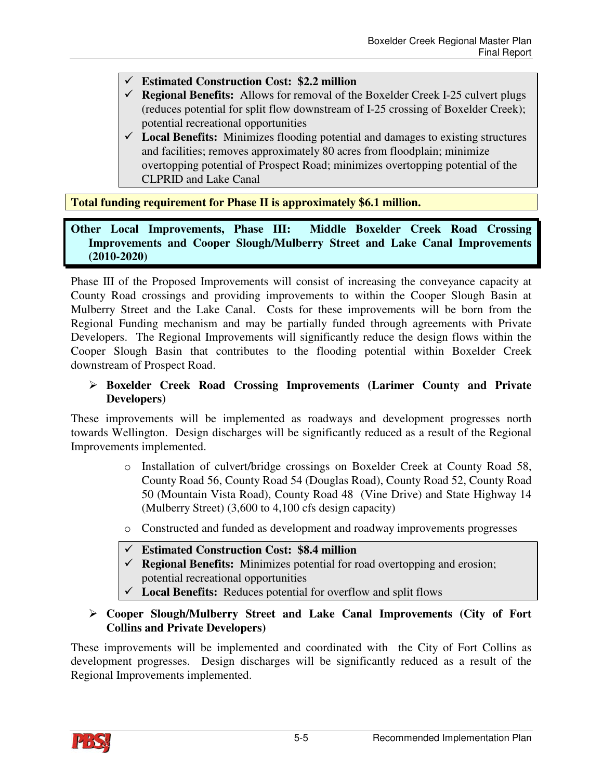- **Estimated Construction Cost: \$2.2 million**
- **Regional Benefits:** Allows for removal of the Boxelder Creek I-25 culvert plugs (reduces potential for split flow downstream of I-25 crossing of Boxelder Creek); potential recreational opportunities
- **Local Benefits:** Minimizes flooding potential and damages to existing structures and facilities; removes approximately 80 acres from floodplain; minimize overtopping potential of Prospect Road; minimizes overtopping potential of the CLPRID and Lake Canal

**Total funding requirement for Phase II is approximately \$6.1 million.**

# **Other Local Improvements, Phase III: Middle Boxelder Creek Road Crossing Improvements and Cooper Slough/Mulberry Street and Lake Canal Improvements (2010-2020)**

Phase III of the Proposed Improvements will consist of increasing the conveyance capacity at County Road crossings and providing improvements to within the Cooper Slough Basin at Mulberry Street and the Lake Canal. Costs for these improvements will be born from the Regional Funding mechanism and may be partially funded through agreements with Private Developers. The Regional Improvements will significantly reduce the design flows within the Cooper Slough Basin that contributes to the flooding potential within Boxelder Creek downstream of Prospect Road.

# **Boxelder Creek Road Crossing Improvements (Larimer County and Private Developers)**

These improvements will be implemented as roadways and development progresses north towards Wellington. Design discharges will be significantly reduced as a result of the Regional Improvements implemented.

- o Installation of culvert/bridge crossings on Boxelder Creek at County Road 58, County Road 56, County Road 54 (Douglas Road), County Road 52, County Road 50 (Mountain Vista Road), County Road 48 (Vine Drive) and State Highway 14 (Mulberry Street) (3,600 to 4,100 cfs design capacity)
- o Constructed and funded as development and roadway improvements progresses
- **Estimated Construction Cost: \$8.4 million**
- **Regional Benefits:** Minimizes potential for road overtopping and erosion; potential recreational opportunities
- **Local Benefits:** Reduces potential for overflow and split flows

# **Cooper Slough/Mulberry Street and Lake Canal Improvements (City of Fort Collins and Private Developers)**

These improvements will be implemented and coordinated with the City of Fort Collins as development progresses. Design discharges will be significantly reduced as a result of the Regional Improvements implemented.

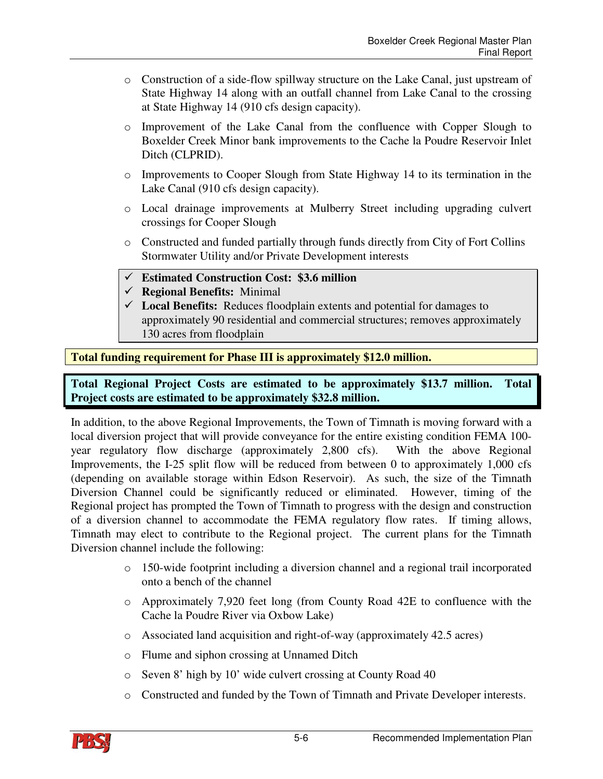- o Construction of a side-flow spillway structure on the Lake Canal, just upstream of State Highway 14 along with an outfall channel from Lake Canal to the crossing at State Highway 14 (910 cfs design capacity).
- o Improvement of the Lake Canal from the confluence with Copper Slough to Boxelder Creek Minor bank improvements to the Cache la Poudre Reservoir Inlet Ditch (CLPRID).
- o Improvements to Cooper Slough from State Highway 14 to its termination in the Lake Canal (910 cfs design capacity).
- o Local drainage improvements at Mulberry Street including upgrading culvert crossings for Cooper Slough
- o Constructed and funded partially through funds directly from City of Fort Collins Stormwater Utility and/or Private Development interests
- $\checkmark$ **Estimated Construction Cost: \$3.6 million**
- **Regional Benefits:** Minimal
- **Local Benefits:** Reduces floodplain extents and potential for damages to approximately 90 residential and commercial structures; removes approximately 130 acres from floodplain

#### **Total funding requirement for Phase III is approximately \$12.0 million.**

**Total Regional Project Costs are estimated to be approximately \$13.7 million. Total Project costs are estimated to be approximately \$32.8 million.**

In addition, to the above Regional Improvements, the Town of Timnath is moving forward with a local diversion project that will provide conveyance for the entire existing condition FEMA 100 year regulatory flow discharge (approximately 2,800 cfs). With the above Regional Improvements, the I-25 split flow will be reduced from between 0 to approximately 1,000 cfs (depending on available storage within Edson Reservoir). As such, the size of the Timnath Diversion Channel could be significantly reduced or eliminated. However, timing of the Regional project has prompted the Town of Timnath to progress with the design and construction of a diversion channel to accommodate the FEMA regulatory flow rates. If timing allows, Timnath may elect to contribute to the Regional project. The current plans for the Timnath Diversion channel include the following:

- o 150-wide footprint including a diversion channel and a regional trail incorporated onto a bench of the channel
- o Approximately 7,920 feet long (from County Road 42E to confluence with the Cache la Poudre River via Oxbow Lake)
- o Associated land acquisition and right-of-way (approximately 42.5 acres)
- o Flume and siphon crossing at Unnamed Ditch
- o Seven 8' high by 10' wide culvert crossing at County Road 40
- o Constructed and funded by the Town of Timnath and Private Developer interests.

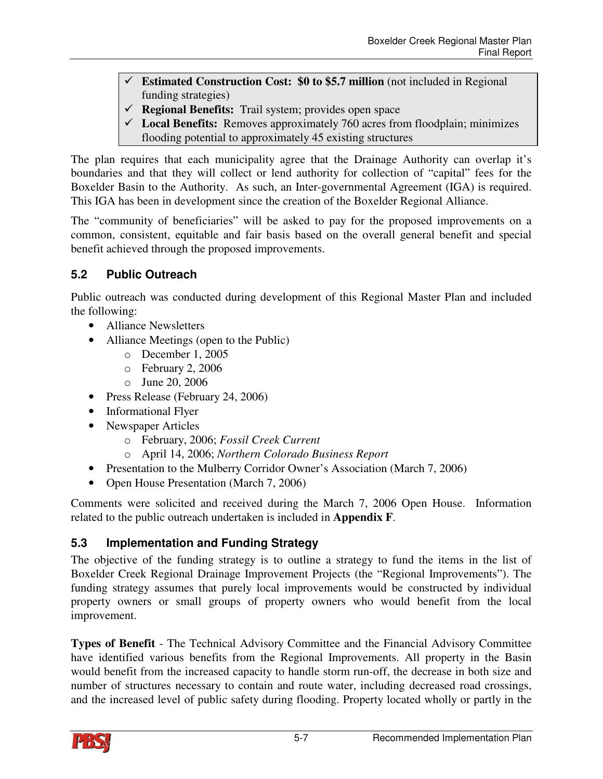- $\checkmark$  **Estimated Construction Cost: \$0 to \$5.7 million** (not included in Regional funding strategies)
- **Regional Benefits:** Trail system; provides open space
- **Local Benefits:** Removes approximately 760 acres from floodplain; minimizes flooding potential to approximately 45 existing structures

The plan requires that each municipality agree that the Drainage Authority can overlap it's boundaries and that they will collect or lend authority for collection of "capital" fees for the Boxelder Basin to the Authority. As such, an Inter-governmental Agreement (IGA) is required. This IGA has been in development since the creation of the Boxelder Regional Alliance.

The "community of beneficiaries" will be asked to pay for the proposed improvements on a common, consistent, equitable and fair basis based on the overall general benefit and special benefit achieved through the proposed improvements.

# **5.2 Public Outreach**

Public outreach was conducted during development of this Regional Master Plan and included the following:

- Alliance Newsletters
- Alliance Meetings (open to the Public)
	- o December 1, 2005
	- o February 2, 2006
	- o June 20, 2006
- Press Release (February 24, 2006)
- Informational Flyer
- Newspaper Articles
	- o February, 2006; *Fossil Creek Current*
	- o April 14, 2006; *Northern Colorado Business Report*
- Presentation to the Mulberry Corridor Owner's Association (March 7, 2006)
- Open House Presentation (March 7, 2006)

Comments were solicited and received during the March 7, 2006 Open House. Information related to the public outreach undertaken is included in **Appendix F**.

# **5.3 Implementation and Funding Strategy**

The objective of the funding strategy is to outline a strategy to fund the items in the list of Boxelder Creek Regional Drainage Improvement Projects (the "Regional Improvements"). The funding strategy assumes that purely local improvements would be constructed by individual property owners or small groups of property owners who would benefit from the local improvement.

**Types of Benefit** - The Technical Advisory Committee and the Financial Advisory Committee have identified various benefits from the Regional Improvements. All property in the Basin would benefit from the increased capacity to handle storm run-off, the decrease in both size and number of structures necessary to contain and route water, including decreased road crossings, and the increased level of public safety during flooding. Property located wholly or partly in the

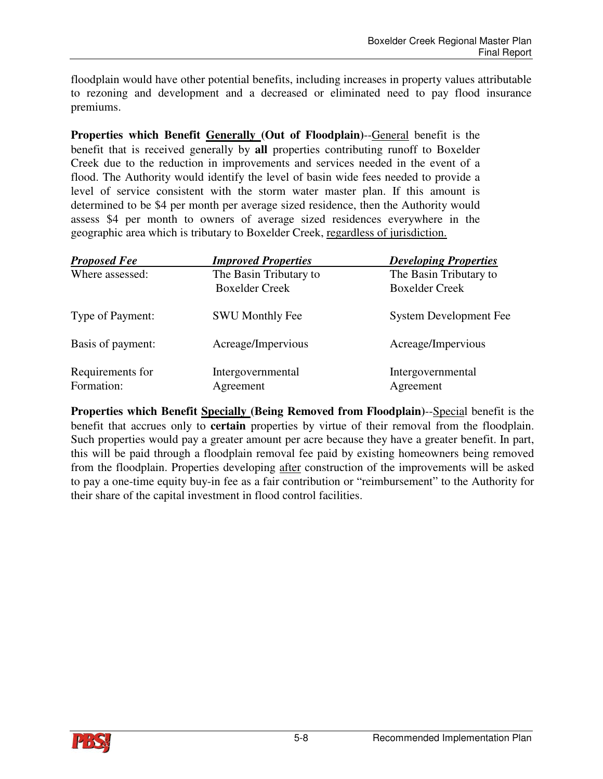floodplain would have other potential benefits, including increases in property values attributable to rezoning and development and a decreased or eliminated need to pay flood insurance premiums.

**Properties which Benefit Generally (Out of Floodplain)**--General benefit is the benefit that is received generally by **all** properties contributing runoff to Boxelder Creek due to the reduction in improvements and services needed in the event of a flood. The Authority would identify the level of basin wide fees needed to provide a level of service consistent with the storm water master plan. If this amount is determined to be \$4 per month per average sized residence, then the Authority would assess \$4 per month to owners of average sized residences everywhere in the geographic area which is tributary to Boxelder Creek, regardless of jurisdiction.

| <b>Proposed Fee</b> | <b>Improved Properties</b> | <b>Developing Properties</b>  |  |  |
|---------------------|----------------------------|-------------------------------|--|--|
| Where assessed:     | The Basin Tributary to     | The Basin Tributary to        |  |  |
|                     | <b>Boxelder Creek</b>      | <b>Boxelder Creek</b>         |  |  |
| Type of Payment:    | <b>SWU Monthly Fee</b>     | <b>System Development Fee</b> |  |  |
| Basis of payment:   | Acreage/Impervious         | Acreage/Impervious            |  |  |
| Requirements for    | Intergovernmental          | Intergovernmental             |  |  |
| Formation:          | Agreement                  | Agreement                     |  |  |

**Properties which Benefit Specially (Being Removed from Floodplain)**--Special benefit is the benefit that accrues only to **certain** properties by virtue of their removal from the floodplain. Such properties would pay a greater amount per acre because they have a greater benefit. In part, this will be paid through a floodplain removal fee paid by existing homeowners being removed from the floodplain. Properties developing after construction of the improvements will be asked to pay a one-time equity buy-in fee as a fair contribution or "reimbursement" to the Authority for their share of the capital investment in flood control facilities.

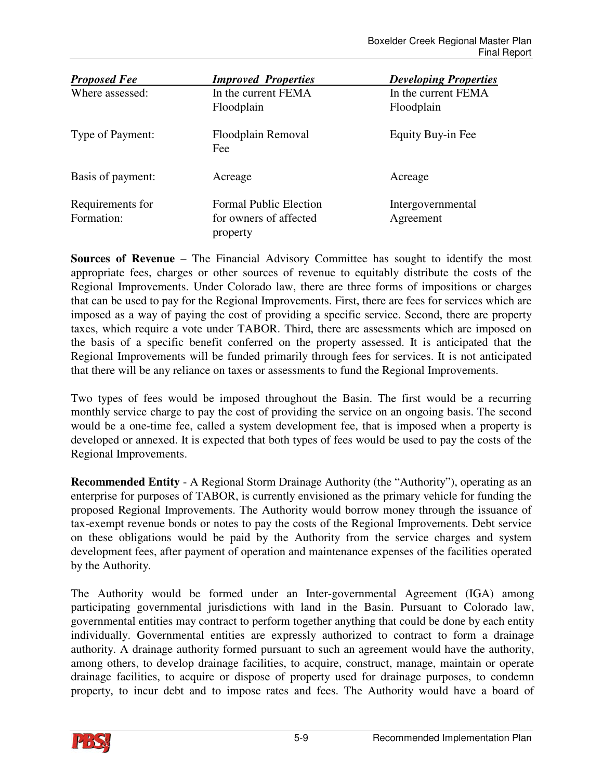| <b>Proposed Fee</b> | <b>Improved Properties</b>         | <b>Developing Properties</b> |
|---------------------|------------------------------------|------------------------------|
| Where assessed:     | In the current FEMA                | In the current FEMA          |
|                     | Floodplain                         | Floodplain                   |
| Type of Payment:    | Floodplain Removal<br>Fee          | Equity Buy-in Fee            |
| Basis of payment:   | Acreage                            | Acreage                      |
| Requirements for    | <b>Formal Public Election</b>      | Intergovernmental            |
| Formation:          | for owners of affected<br>property | Agreement                    |

**Sources of Revenue** – The Financial Advisory Committee has sought to identify the most appropriate fees, charges or other sources of revenue to equitably distribute the costs of the Regional Improvements. Under Colorado law, there are three forms of impositions or charges that can be used to pay for the Regional Improvements. First, there are fees for services which are imposed as a way of paying the cost of providing a specific service. Second, there are property taxes, which require a vote under TABOR. Third, there are assessments which are imposed on the basis of a specific benefit conferred on the property assessed. It is anticipated that the Regional Improvements will be funded primarily through fees for services. It is not anticipated that there will be any reliance on taxes or assessments to fund the Regional Improvements.

Two types of fees would be imposed throughout the Basin. The first would be a recurring monthly service charge to pay the cost of providing the service on an ongoing basis. The second would be a one-time fee, called a system development fee, that is imposed when a property is developed or annexed. It is expected that both types of fees would be used to pay the costs of the Regional Improvements.

**Recommended Entity** - A Regional Storm Drainage Authority (the "Authority"), operating as an enterprise for purposes of TABOR, is currently envisioned as the primary vehicle for funding the proposed Regional Improvements. The Authority would borrow money through the issuance of tax-exempt revenue bonds or notes to pay the costs of the Regional Improvements. Debt service on these obligations would be paid by the Authority from the service charges and system development fees, after payment of operation and maintenance expenses of the facilities operated by the Authority.

The Authority would be formed under an Inter-governmental Agreement (IGA) among participating governmental jurisdictions with land in the Basin. Pursuant to Colorado law, governmental entities may contract to perform together anything that could be done by each entity individually. Governmental entities are expressly authorized to contract to form a drainage authority. A drainage authority formed pursuant to such an agreement would have the authority, among others, to develop drainage facilities, to acquire, construct, manage, maintain or operate drainage facilities, to acquire or dispose of property used for drainage purposes, to condemn property, to incur debt and to impose rates and fees. The Authority would have a board of

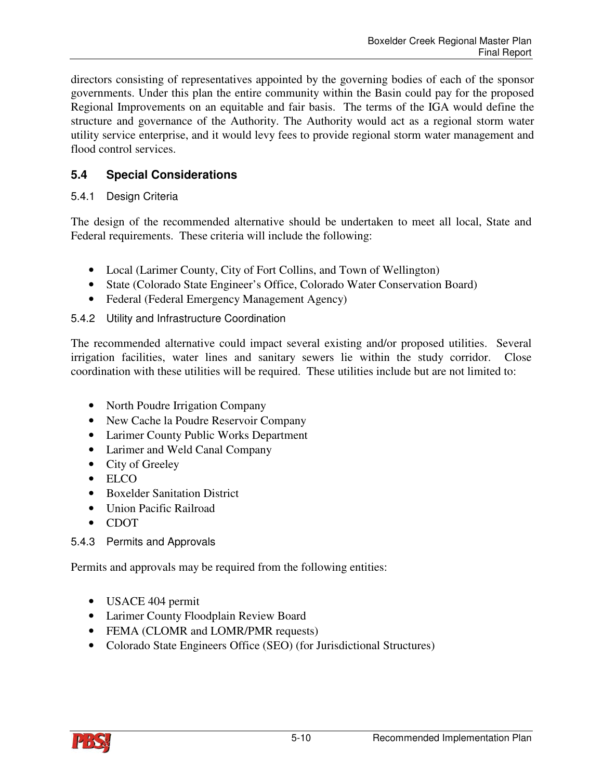directors consisting of representatives appointed by the governing bodies of each of the sponsor governments. Under this plan the entire community within the Basin could pay for the proposed Regional Improvements on an equitable and fair basis. The terms of the IGA would define the structure and governance of the Authority. The Authority would act as a regional storm water utility service enterprise, and it would levy fees to provide regional storm water management and flood control services.

# **5.4 Special Considerations**

# 5.4.1 Design Criteria

The design of the recommended alternative should be undertaken to meet all local, State and Federal requirements. These criteria will include the following:

- Local (Larimer County, City of Fort Collins, and Town of Wellington)
- State (Colorado State Engineer's Office, Colorado Water Conservation Board)
- Federal (Federal Emergency Management Agency)

## 5.4.2 Utility and Infrastructure Coordination

The recommended alternative could impact several existing and/or proposed utilities. Several irrigation facilities, water lines and sanitary sewers lie within the study corridor. Close coordination with these utilities will be required. These utilities include but are not limited to:

- North Poudre Irrigation Company
- New Cache la Poudre Reservoir Company
- Larimer County Public Works Department
- Larimer and Weld Canal Company
- City of Greeley
- ELCO
- Boxelder Sanitation District
- Union Pacific Railroad
- CDOT

## 5.4.3 Permits and Approvals

Permits and approvals may be required from the following entities:

- USACE 404 permit
- Larimer County Floodplain Review Board
- FEMA (CLOMR and LOMR/PMR requests)
- Colorado State Engineers Office (SEO) (for Jurisdictional Structures)

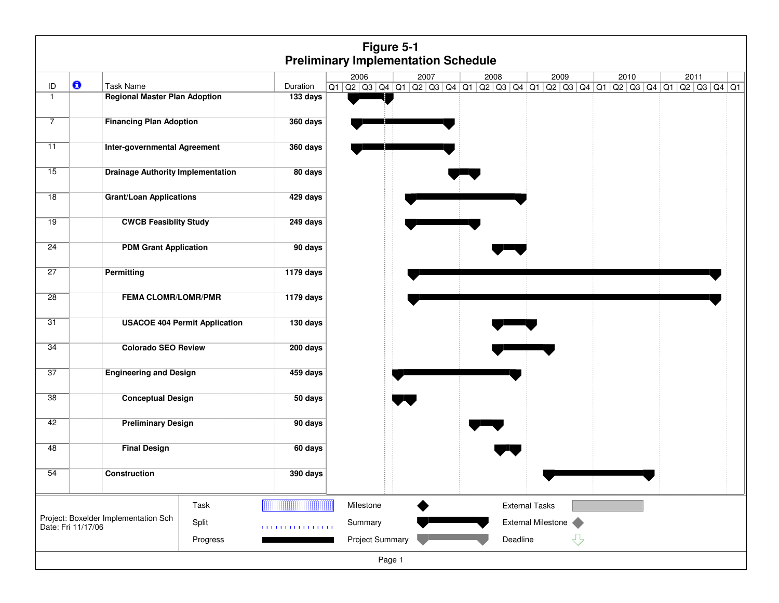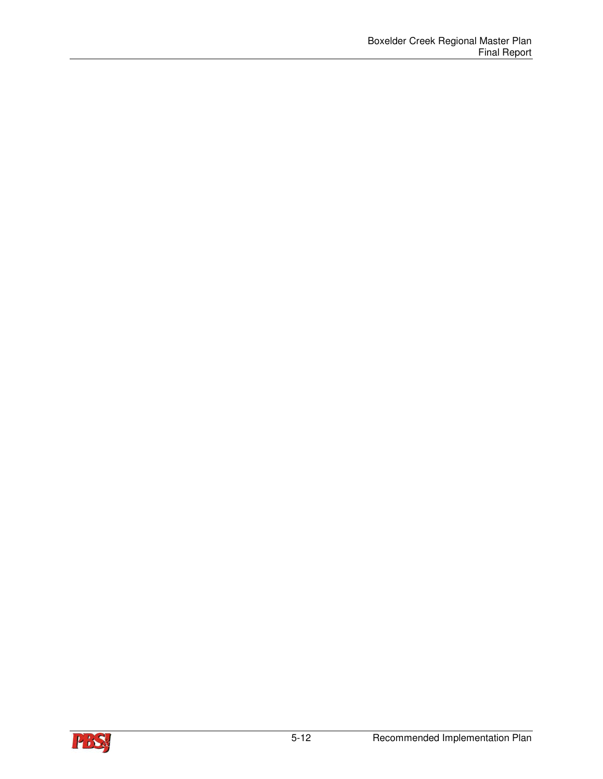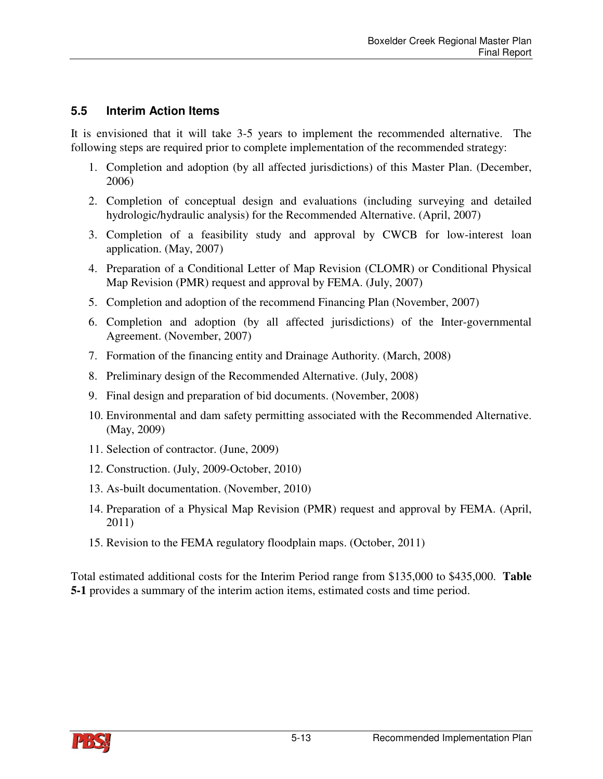# **5.5 Interim Action Items**

It is envisioned that it will take 3-5 years to implement the recommended alternative. The following steps are required prior to complete implementation of the recommended strategy:

- 1. Completion and adoption (by all affected jurisdictions) of this Master Plan. (December, 2006)
- 2. Completion of conceptual design and evaluations (including surveying and detailed hydrologic/hydraulic analysis) for the Recommended Alternative. (April, 2007)
- 3. Completion of a feasibility study and approval by CWCB for low-interest loan application. (May, 2007)
- 4. Preparation of a Conditional Letter of Map Revision (CLOMR) or Conditional Physical Map Revision (PMR) request and approval by FEMA. (July, 2007)
- 5. Completion and adoption of the recommend Financing Plan (November, 2007)
- 6. Completion and adoption (by all affected jurisdictions) of the Inter-governmental Agreement. (November, 2007)
- 7. Formation of the financing entity and Drainage Authority. (March, 2008)
- 8. Preliminary design of the Recommended Alternative. (July, 2008)
- 9. Final design and preparation of bid documents. (November, 2008)
- 10. Environmental and dam safety permitting associated with the Recommended Alternative. (May, 2009)
- 11. Selection of contractor. (June, 2009)
- 12. Construction. (July, 2009-October, 2010)
- 13. As-built documentation. (November, 2010)
- 14. Preparation of a Physical Map Revision (PMR) request and approval by FEMA. (April, 2011)
- 15. Revision to the FEMA regulatory floodplain maps. (October, 2011)

Total estimated additional costs for the Interim Period range from \$135,000 to \$435,000. **Table 5-1** provides a summary of the interim action items, estimated costs and time period.

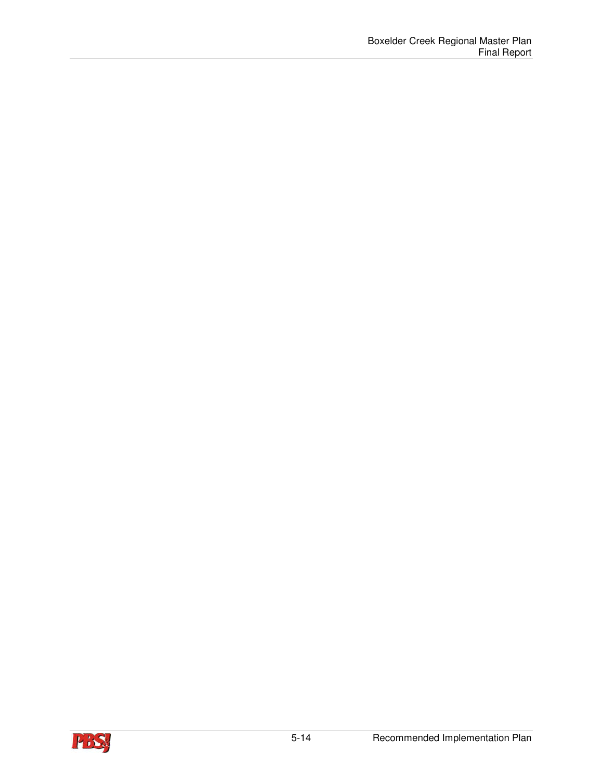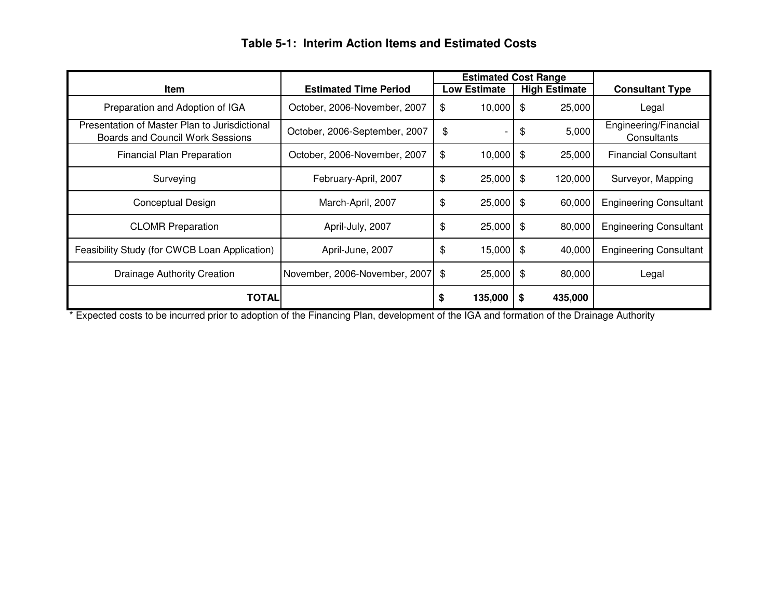| <b>Table 5-1: Interim Action Items and Estimated Costs</b> |  |
|------------------------------------------------------------|--|
|------------------------------------------------------------|--|

|                                                                                   |                               | <b>Estimated Cost Range</b> |                     |    |                      |                                      |
|-----------------------------------------------------------------------------------|-------------------------------|-----------------------------|---------------------|----|----------------------|--------------------------------------|
| <b>Item</b>                                                                       | <b>Estimated Time Period</b>  |                             | <b>Low Estimate</b> |    | <b>High Estimate</b> | <b>Consultant Type</b>               |
| Preparation and Adoption of IGA                                                   | October, 2006-November, 2007  | \$                          | 10,000              | \$ | 25,000               | Legal                                |
| Presentation of Master Plan to Jurisdictional<br>Boards and Council Work Sessions | October, 2006-September, 2007 | \$                          |                     | \$ | 5,000                | Engineering/Financial<br>Consultants |
| Financial Plan Preparation                                                        | October, 2006-November, 2007  | \$                          | 10,000              | \$ | 25,000               | <b>Financial Consultant</b>          |
| Surveying                                                                         | February-April, 2007          | \$                          | 25,000              | \$ | 120,000              | Surveyor, Mapping                    |
| Conceptual Design                                                                 | March-April, 2007             | \$                          | 25,000              | \$ | 60,000               | <b>Engineering Consultant</b>        |
| <b>CLOMR Preparation</b>                                                          | April-July, 2007              | \$                          | 25,000              | \$ | 80,000               | <b>Engineering Consultant</b>        |
| Feasibility Study (for CWCB Loan Application)                                     | April-June, 2007              | \$                          | 15,000              | \$ | 40,000               | <b>Engineering Consultant</b>        |
| <b>Drainage Authority Creation</b>                                                | November, 2006-November, 2007 | S                           | 25,000              | \$ | 80,000               | Legal                                |
| <b>TOTAL</b>                                                                      |                               | S                           | 135,000             | S  | 435,000              |                                      |

\* Expected costs to be incurred prior to adoption of the Financing Plan, development of the IGA and formation of the Drainage Authority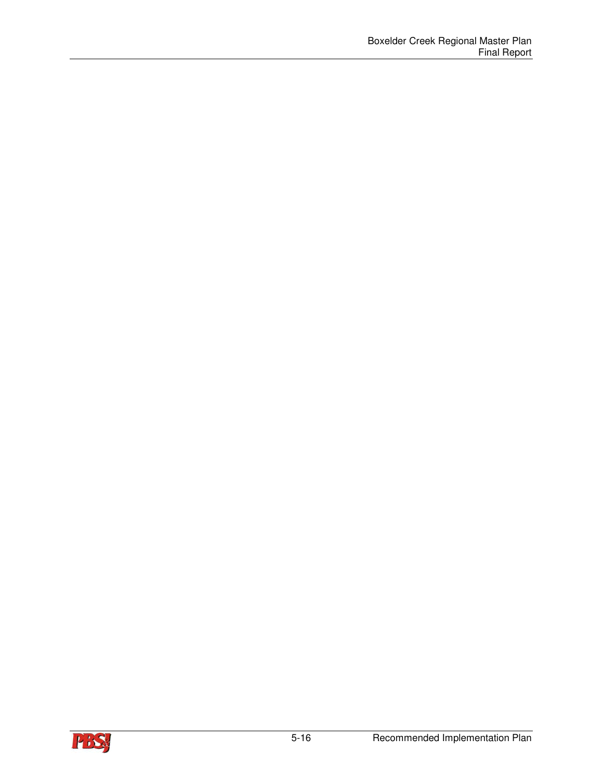